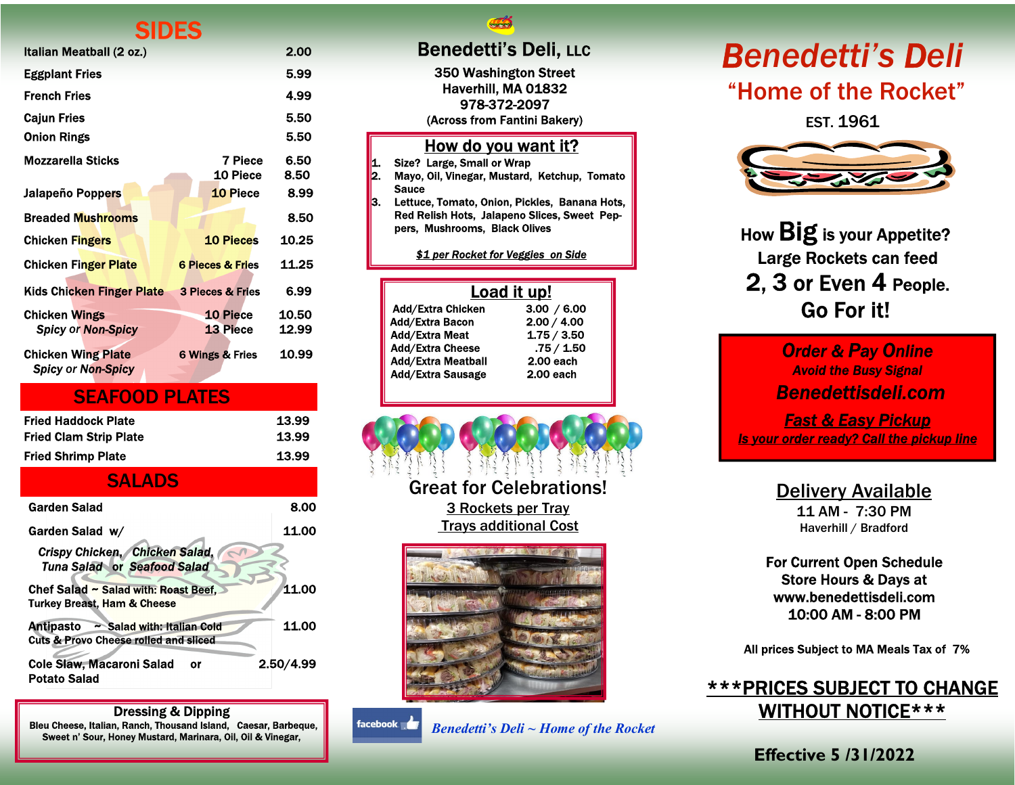## **CINEC**

| Italian Meatball (2 oz.)                               |                             | 2.00         |
|--------------------------------------------------------|-----------------------------|--------------|
| <b>Eggplant Fries</b>                                  |                             | 5.99         |
| French Fries                                           |                             | 4.99         |
| <b>Calun Fries</b>                                     |                             | 5.50         |
| <b>Onion Rings</b>                                     |                             | 5.50         |
| Mozzarella Sticks                                      | 7 Piece<br>10 Piece         | 6.50<br>8.50 |
| Jalapeño Poppers                                       | <b>10 Piece</b>             | 8.99         |
| <b>Breaded Mushrooms</b>                               |                             | 8.50         |
| <b>Chicken Fingers</b>                                 | <b>10 Pieces</b>            | 10.25        |
| <b>Chicken Finger Plate</b>                            | <b>6 Pieces &amp; Fries</b> | 11.25        |
| Kids Chicken Finger Plate                              | <b>3 Pieces &amp; Fries</b> | 6.99         |
| <b>Chicken Wings</b>                                   | <b>10 Piece</b>             | 10.50        |
| <b>Spicy or Non-Spicy</b>                              | <b>13 Piece</b>             | 12.99        |
| <b>Chicken Wing Plate</b><br><b>Spicy or Non-Spicy</b> | <b>6 Wings &amp; Fries</b>  | 10.99        |

| <b>SEAFOOD PLATES</b>     |       |
|---------------------------|-------|
| Fried Haddock Plate       | 13.99 |
| Fried Clam Strip Plate    | 13.99 |
| <b>Fried Shrimp Plate</b> | 13.99 |

### **SALADS**

| Garden Salad                                                                                | 8.00      |
|---------------------------------------------------------------------------------------------|-----------|
| Garden Salad w/                                                                             | 11.00     |
| Crispy Chicken, Chicken Salad,<br><b>Tuna Salad or Seafood Salad</b>                        |           |
| Chef Salad ~ Salad with: Roast Beef,<br>11.00<br><b>Turkey Breast, Ham &amp; Cheese</b>     |           |
| Antipasto<br>~ Salad with: Italian Cold<br><b>Cuts &amp; Provo Cheese rolled and sliced</b> | 11.00     |
| <b>Cole Slaw, Macaroni Salad</b><br>o٢<br><b>Potato Salad</b>                               | 2.50/4.99 |

Dressing & Dipping Bleu Cheese, Italian, Ranch, Thousand Island, Caesar, Barbeque, Sweet n' Sour, Honey Mustard, Marinara, Oil, Oil & Vinegar,

**ALL** 

350 Washington Street Haverhill, MA 01832 978-372-2097 (Across from Fantini Bakery)

#### How do you want it?

1. Size? Large, Small or Wrap<br>2. Mavo. Oil. Vinegar. Mustard.

- 2. Mayo, Oil, Vinegar, Mustard, Ketchup, Tomato Sauce
- **3. Lettuce, Tomato, Onion, Pickles, Banana Hots,** Red Relish Hots, Jalapeno Slices, Sweet Peppers, Mushrooms, Black Olives

\$1 per Rocket for Veggies on Side

### Load it up!

| 3.00 / 6.00 |
|-------------|
| 2.00 / 4.00 |
| 1.75 / 3.50 |
| .75/1.50    |
| 2.00 each   |
| 2.00 each   |
|             |

Great for Celebrations! 3 Rockets per Tray Trays additional Cost



facebook. Benedetti's Deli ~ Home of the Rocket

# Benedetti's Deli, LLC Benedetti's Deli "Home of the Rocket"

EST. 1961



How Big is your Appetite? Large Rockets can feed 2, 3 or Even 4 People. Go For it!

> **Order & Pay Online** Avoid the Busy Signal Benedettisdeli.com

Fast & Easy Pickup **Is your order ready? Call the pickup line** 

Delivery Available

11 AM - 7:30 PM Haverhill / Bradford

For Current Open Schedule Store Hours & Days at www.benedettisdeli.com 10:00 AM - 8:00 PM

All prices Subject to MA Meals Tax of 7%

## \*\*\*PRICES SUBJECT TO CHANGE WITHOUT NOTICE\*\*\*

Effective 5 /31/2022